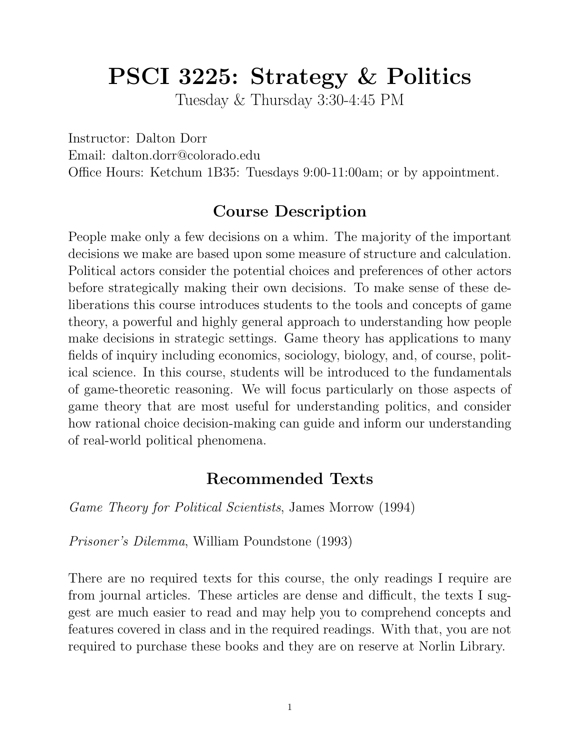# **PSCI 3225: Strategy & Politics**

Tuesday & Thursday 3:30-4:45 PM

Instructor: Dalton Dorr

Email: dalton.dorr@colorado.edu

Office Hours: Ketchum 1B35: Tuesdays 9:00-11:00am; or by appointment.

# **Course Description**

People make only a few decisions on a whim. The majority of the important decisions we make are based upon some measure of structure and calculation. Political actors consider the potential choices and preferences of other actors before strategically making their own decisions. To make sense of these deliberations this course introduces students to the tools and concepts of game theory, a powerful and highly general approach to understanding how people make decisions in strategic settings. Game theory has applications to many fields of inquiry including economics, sociology, biology, and, of course, political science. In this course, students will be introduced to the fundamentals of game-theoretic reasoning. We will focus particularly on those aspects of game theory that are most useful for understanding politics, and consider how rational choice decision-making can guide and inform our understanding of real-world political phenomena.

# **Recommended Texts**

*Game Theory for Political Scientists*, James Morrow (1994)

*Prisoner's Dilemma*, William Poundstone (1993)

There are no required texts for this course, the only readings I require are from journal articles. These articles are dense and difficult, the texts I suggest are much easier to read and may help you to comprehend concepts and features covered in class and in the required readings. With that, you are not required to purchase these books and they are on reserve at Norlin Library.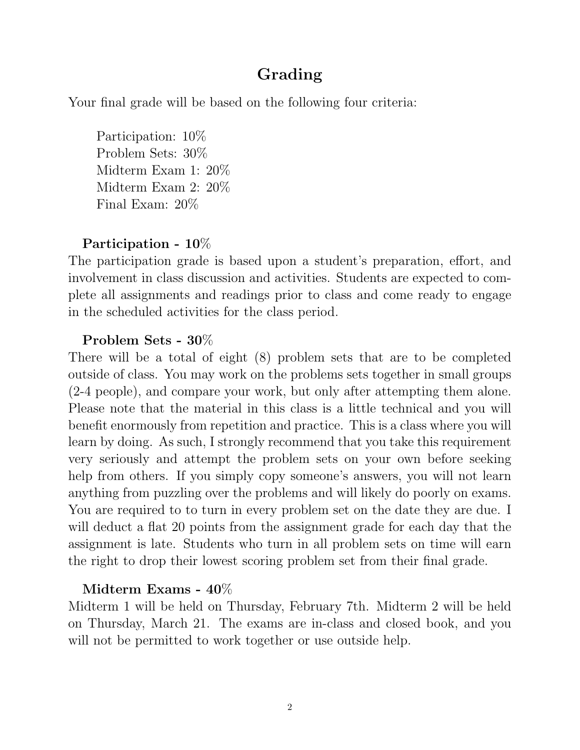# **Grading**

Your final grade will be based on the following four criteria:

Participation: 10% Problem Sets: 30% Midterm Exam 1: 20% Midterm Exam 2: 20% Final Exam: 20%

## **Participation - 10**%

The participation grade is based upon a student's preparation, effort, and involvement in class discussion and activities. Students are expected to complete all assignments and readings prior to class and come ready to engage in the scheduled activities for the class period.

#### **Problem Sets - 30**%

There will be a total of eight (8) problem sets that are to be completed outside of class. You may work on the problems sets together in small groups (2-4 people), and compare your work, but only after attempting them alone. Please note that the material in this class is a little technical and you will benefit enormously from repetition and practice. This is a class where you will learn by doing. As such, I strongly recommend that you take this requirement very seriously and attempt the problem sets on your own before seeking help from others. If you simply copy someone's answers, you will not learn anything from puzzling over the problems and will likely do poorly on exams. You are required to to turn in every problem set on the date they are due. I will deduct a flat 20 points from the assignment grade for each day that the assignment is late. Students who turn in all problem sets on time will earn the right to drop their lowest scoring problem set from their final grade.

#### **Midterm Exams - 40**%

Midterm 1 will be held on Thursday, February 7th. Midterm 2 will be held on Thursday, March 21. The exams are in-class and closed book, and you will not be permitted to work together or use outside help.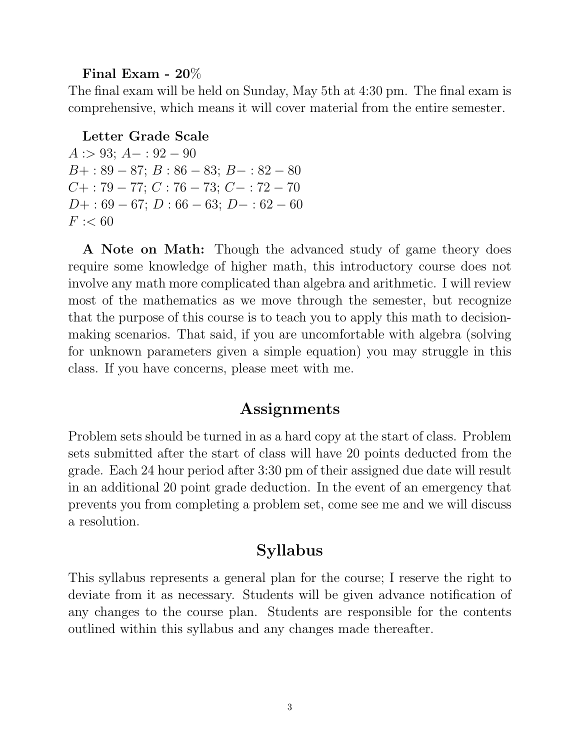#### **Final Exam - 20**%

The final exam will be held on Sunday, May 5th at 4:30 pm. The final exam is comprehensive, which means it will cover material from the entire semester.

#### **Letter Grade Scale**

*A* :*>* 93; *A−* : 92 *−* 90 *B*+ : 89 *−* 87; *B* : 86 *−* 83; *B−* : 82 *−* 80 *C*+ : 79 *−* 77; *C* : 76 *−* 73; *C−* : 72 *−* 70 *D*+ : 69 *−* 67; *D* : 66 *−* 63; *D−* : 62 *−* 60  $F := 60$ 

**A Note on Math:** Though the advanced study of game theory does require some knowledge of higher math, this introductory course does not involve any math more complicated than algebra and arithmetic. I will review most of the mathematics as we move through the semester, but recognize that the purpose of this course is to teach you to apply this math to decisionmaking scenarios. That said, if you are uncomfortable with algebra (solving for unknown parameters given a simple equation) you may struggle in this class. If you have concerns, please meet with me.

## **Assignments**

Problem sets should be turned in as a hard copy at the start of class. Problem sets submitted after the start of class will have 20 points deducted from the grade. Each 24 hour period after 3:30 pm of their assigned due date will result in an additional 20 point grade deduction. In the event of an emergency that prevents you from completing a problem set, come see me and we will discuss a resolution.

## **Syllabus**

This syllabus represents a general plan for the course; I reserve the right to deviate from it as necessary. Students will be given advance notification of any changes to the course plan. Students are responsible for the contents outlined within this syllabus and any changes made thereafter.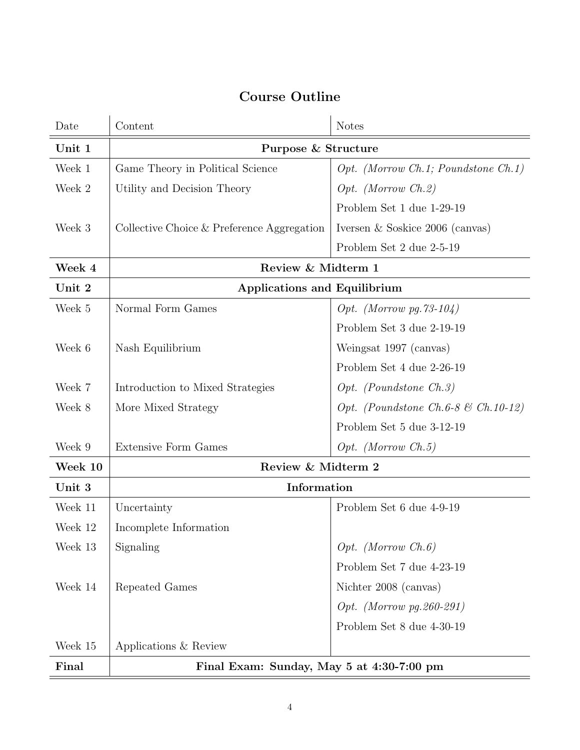# **Course Outline**

| Date    | Content                                      | <b>Notes</b>                                   |
|---------|----------------------------------------------|------------------------------------------------|
| Unit 1  | Purpose & Structure                          |                                                |
| Week 1  | Game Theory in Political Science             | $Opt.$ (Morrow Ch.1; Poundstone Ch.1)          |
| Week 2  | Utility and Decision Theory                  | Opt. (Morrow Ch.2)                             |
|         |                                              | Problem Set 1 due 1-29-19                      |
| Week 3  | Collective Choice $&$ Preference Aggregation | Iversen $&$ Soskice 2006 (canvas)              |
|         |                                              | Problem Set 2 due 2-5-19                       |
| Week 4  | Review & Midterm 1                           |                                                |
| Unit 2  | <b>Applications and Equilibrium</b>          |                                                |
| Week 5  | Normal Form Games                            | Opt. (Morrow pg. $73-104$ )                    |
|         |                                              | Problem Set 3 due 2-19-19                      |
| Week 6  | Nash Equilibrium                             | Weingsat 1997 (canvas)                         |
|         |                                              | Problem Set 4 due 2-26-19                      |
| Week 7  | Introduction to Mixed Strategies             | $Opt.$ (Poundstone Ch.3)                       |
| Week 8  | More Mixed Strategy                          | Opt. (Poundstone Ch.6-8 $\mathcal C$ Ch.10-12) |
|         |                                              | Problem Set 5 due 3-12-19                      |
| Week 9  | <b>Extensive Form Games</b>                  | $Opt.$ (Morrow $Ch.5$ )                        |
| Week 10 | Review & Midterm 2                           |                                                |
| Unit 3  | Information                                  |                                                |
| Week 11 | Uncertainty                                  | Problem Set 6 due 4-9-19                       |
| Week 12 | Incomplete Information                       |                                                |
| Week 13 | Signaling                                    | $Opt.$ (Morrow $Ch.6$ )                        |
|         |                                              | Problem Set 7 due 4-23-19                      |
| Week 14 | Repeated Games                               | Nichter 2008 (canvas)                          |
|         |                                              | Opt. (Morrow pg. 260-291)                      |
|         |                                              | Problem Set 8 due 4-30-19                      |
| Week 15 | Applications & Review                        |                                                |
| Final   | Final Exam: Sunday, May 5 at 4:30-7:00 pm    |                                                |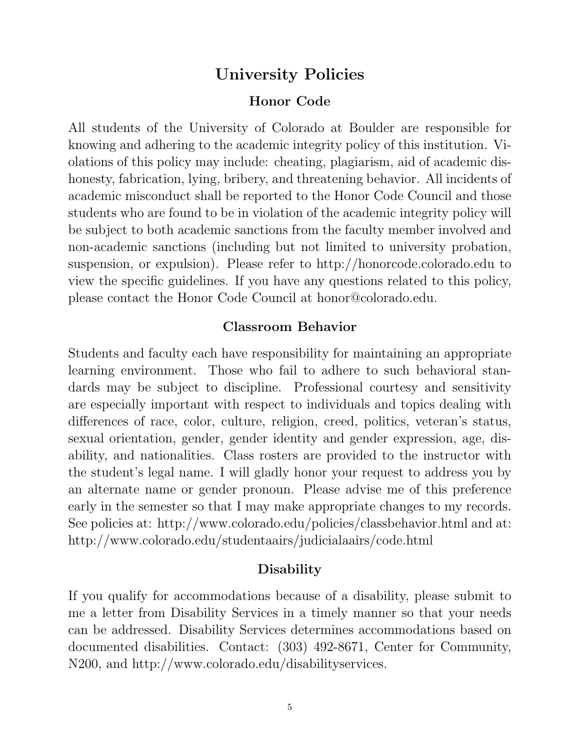## **University Policies**

#### **Honor Code**

All students of the University of Colorado at Boulder are responsible for knowing and adhering to the academic integrity policy of this institution. Violations of this policy may include: cheating, plagiarism, aid of academic dishonesty, fabrication, lying, bribery, and threatening behavior. All incidents of academic misconduct shall be reported to the Honor Code Council and those students who are found to be in violation of the academic integrity policy will be subject to both academic sanctions from the faculty member involved and non-academic sanctions (including but not limited to university probation, suspension, or expulsion). Please refer to http://honorcode.colorado.edu to view the specific guidelines. If you have any questions related to this policy, please contact the Honor Code Council at honor@colorado.edu.

#### **Classroom Behavior**

Students and faculty each have responsibility for maintaining an appropriate learning environment. Those who fail to adhere to such behavioral standards may be subject to discipline. Professional courtesy and sensitivity are especially important with respect to individuals and topics dealing with differences of race, color, culture, religion, creed, politics, veteran's status, sexual orientation, gender, gender identity and gender expression, age, disability, and nationalities. Class rosters are provided to the instructor with the student's legal name. I will gladly honor your request to address you by an alternate name or gender pronoun. Please advise me of this preference early in the semester so that I may make appropriate changes to my records. See policies at: http://www.colorado.edu/policies/classbehavior.html and at: http://www.colorado.edu/studentaairs/judicialaairs/code.html

#### **Disability**

If you qualify for accommodations because of a disability, please submit to me a letter from Disability Services in a timely manner so that your needs can be addressed. Disability Services determines accommodations based on documented disabilities. Contact: (303) 492-8671, Center for Community, N200, and http://www.colorado.edu/disabilityservices.